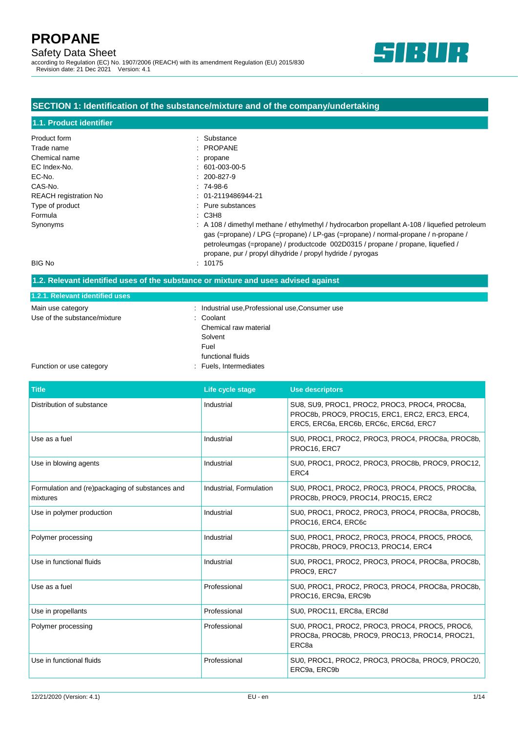# Safety Data Sheet

according to Regulation (EC) No. 1907/2006 (REACH) with its amendment Regulation (EU) 2015/830 Revision date: 21 Dec 2021 Version: 4.1



# **SECTION 1: Identification of the substance/mixture and of the company/undertaking**

| 1.1. Product identifier      |                                                                                                                                                                                                                                                                                                                                                 |
|------------------------------|-------------------------------------------------------------------------------------------------------------------------------------------------------------------------------------------------------------------------------------------------------------------------------------------------------------------------------------------------|
| Product form                 | : Substance                                                                                                                                                                                                                                                                                                                                     |
| Trade name                   | $:$ PROPANE                                                                                                                                                                                                                                                                                                                                     |
| Chemical name                | : propane                                                                                                                                                                                                                                                                                                                                       |
| EC Index-No.                 | $: 601-003-00-5$                                                                                                                                                                                                                                                                                                                                |
| EC-No.                       | $: 200 - 827 - 9$                                                                                                                                                                                                                                                                                                                               |
| CAS-No.                      | $: 74-98-6$                                                                                                                                                                                                                                                                                                                                     |
| <b>REACH</b> registration No | $: 01-2119486944-21$                                                                                                                                                                                                                                                                                                                            |
| Type of product              | $:$ Pure substances                                                                                                                                                                                                                                                                                                                             |
| Formula                      | : СЗН8                                                                                                                                                                                                                                                                                                                                          |
| Synonyms                     | $\therefore$ A 108 / dimethyl methane / ethylmethyl / hydrocarbon propellant A-108 / liquefied petroleum<br>gas (=propane) / LPG (=propane) / LP-gas (=propane) / normal-propane / n-propane /<br>petroleumgas (=propane) / productcode 002D0315 / propane / propane, liquefied /<br>propane, pur / propyl dihydride / propyl hydride / pyrogas |
| <b>BIG No</b>                | : 10175                                                                                                                                                                                                                                                                                                                                         |

### **1.2. Relevant identified uses of the substance or mixture and uses advised against**

| 1.2.1. Relevant identified uses |                                                  |
|---------------------------------|--------------------------------------------------|
| Main use category               | : Industrial use, Professional use, Consumer use |
| Use of the substance/mixture    | : Coolant                                        |
|                                 | Chemical raw material                            |
|                                 | Solvent                                          |
|                                 | Fuel                                             |
|                                 | functional fluids                                |
| Function or use category        | : Fuels, Intermediates                           |

| <b>Title</b>                                                | Life cycle stage        | <b>Use descriptors</b>                                                                                                                    |
|-------------------------------------------------------------|-------------------------|-------------------------------------------------------------------------------------------------------------------------------------------|
| Distribution of substance                                   | Industrial              | SU8, SU9, PROC1, PROC2, PROC3, PROC4, PROC8a,<br>PROC8b, PROC9, PROC15, ERC1, ERC2, ERC3, ERC4,<br>ERC5, ERC6a, ERC6b, ERC6c, ERC6d, ERC7 |
| Use as a fuel                                               | Industrial              | SU0, PROC1, PROC2, PROC3, PROC4, PROC8a, PROC8b,<br>PROC16, ERC7                                                                          |
| Use in blowing agents                                       | Industrial              | SU0, PROC1, PROC2, PROC3, PROC8b, PROC9, PROC12,<br>ERC4                                                                                  |
| Formulation and (re)packaging of substances and<br>mixtures | Industrial, Formulation | SU0, PROC1, PROC2, PROC3, PROC4, PROC5, PROC8a,<br>PROC8b, PROC9, PROC14, PROC15, ERC2                                                    |
| Use in polymer production                                   | Industrial              | SU0, PROC1, PROC2, PROC3, PROC4, PROC8a, PROC8b,<br>PROC16, ERC4, ERC6c                                                                   |
| Polymer processing                                          | Industrial              | SU0, PROC1, PROC2, PROC3, PROC4, PROC5, PROC6,<br>PROC8b, PROC9, PROC13, PROC14, ERC4                                                     |
| Use in functional fluids                                    | Industrial              | SU0, PROC1, PROC2, PROC3, PROC4, PROC8a, PROC8b,<br>PROC9, ERC7                                                                           |
| Use as a fuel                                               | Professional            | SU0, PROC1, PROC2, PROC3, PROC4, PROC8a, PROC8b,<br>PROC16, ERC9a, ERC9b                                                                  |
| Use in propellants                                          | Professional            | SU0, PROC11, ERC8a, ERC8d                                                                                                                 |
| Polymer processing                                          | Professional            | SU0, PROC1, PROC2, PROC3, PROC4, PROC5, PROC6,<br>PROC8a, PROC8b, PROC9, PROC13, PROC14, PROC21,<br>ERC <sub>8a</sub>                     |
| Use in functional fluids                                    | Professional            | SU0, PROC1, PROC2, PROC3, PROC8a, PROC9, PROC20,<br>ERC9a, ERC9b                                                                          |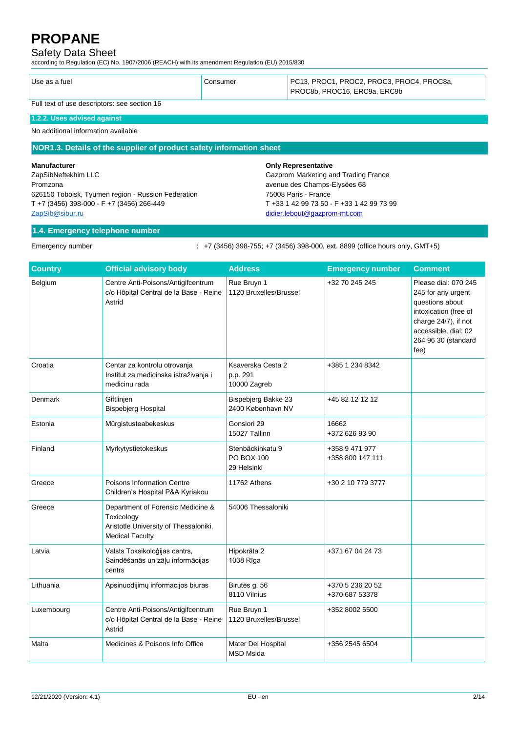# Safety Data Sheet

according to Regulation (EC) No. 1907/2006 (REACH) with its amendment Regulation (EU) 2015/830

| Use as a fuel                                | Consumer | PC13, PROC1, PROC2, PROC3, PROC4, PROC8a,<br>PROC8b, PROC16, ERC9a, ERC9b |
|----------------------------------------------|----------|---------------------------------------------------------------------------|
| Full text of use descriptors: see section 16 |          |                                                                           |

### **1.2.2. Uses advised against**

No additional information available

#### **NOR1.3. Details of the supplier of product safety information sheet**

#### **Manufacturer**

ZapSibNeftekhim LLC Promzona 626150 Tobolsk, Tyumen region - Russion Federation T +7 (3456) 398-000 - F +7 (3456) 266-449 [ZapSib@sibur.ru](mailto:ZapSib@sibur.ru)

#### **Only Representative**

Gazprom Marketing and Trading France avenue des Champs-Elysées 68 75008 Paris - France T +33 1 42 99 73 50 - F +33 1 42 99 73 99 [didier.lebout@gazprom-mt.com](mailto:didier.lebout@gazprom-mt.com)

### **1.4. Emergency telephone number**

Emergency number : +7 (3456) 398-755; +7 (3456) 398-000, ext. 8899 (office hours only, GMT+5)

| <b>Country</b> | <b>Official advisory body</b>                                                                                      | <b>Address</b>                                | <b>Emergency number</b>            | <b>Comment</b>                                                                                                                                                        |
|----------------|--------------------------------------------------------------------------------------------------------------------|-----------------------------------------------|------------------------------------|-----------------------------------------------------------------------------------------------------------------------------------------------------------------------|
| Belgium        | Centre Anti-Poisons/Antigifcentrum<br>c/o Hôpital Central de la Base - Reine<br>Astrid                             | Rue Bruyn 1<br>1120 Bruxelles/Brussel         | +32 70 245 245                     | Please dial: 070 245<br>245 for any urgent<br>questions about<br>intoxication (free of<br>charge 24/7), if not<br>accessible, dial: 02<br>264 96 30 (standard<br>fee) |
| Croatia        | Centar za kontrolu otrovanja<br>Institut za medicinska istraživanja i<br>medicinu rada                             | Ksaverska Cesta 2<br>p.p. 291<br>10000 Zagreb | +385 1 234 8342                    |                                                                                                                                                                       |
| Denmark        | Giftlinjen<br><b>Bispebjerg Hospital</b>                                                                           | Bispebjerg Bakke 23<br>2400 København NV      | +45 82 12 12 12                    |                                                                                                                                                                       |
| Estonia        | Mürgistusteabekeskus                                                                                               | Gonsiori 29<br>15027 Tallinn                  | 16662<br>+372 626 93 90            |                                                                                                                                                                       |
| Finland        | Myrkytystietokeskus                                                                                                | Stenbäckinkatu 9<br>PO BOX 100<br>29 Helsinki | +358 9 471 977<br>+358 800 147 111 |                                                                                                                                                                       |
| Greece         | Poisons Information Centre<br>Children's Hospital P&A Kyriakou                                                     | 11762 Athens                                  | +30 2 10 779 3777                  |                                                                                                                                                                       |
| Greece         | Department of Forensic Medicine &<br>Toxicology<br>Aristotle University of Thessaloniki,<br><b>Medical Faculty</b> | 54006 Thessaloniki                            |                                    |                                                                                                                                                                       |
| Latvia         | Valsts Toksikoloģijas centrs,<br>Saindēšanās un zāļu informācijas<br>centrs                                        | Hipokrāta 2<br>1038 Rīga                      | +371 67 04 24 73                   |                                                                                                                                                                       |
| Lithuania      | Apsinuodijimų informacijos biuras                                                                                  | Birutės g. 56<br>8110 Vilnius                 | +370 5 236 20 52<br>+370 687 53378 |                                                                                                                                                                       |
| Luxembourg     | Centre Anti-Poisons/Antigifcentrum<br>c/o Hôpital Central de la Base - Reine<br>Astrid                             | Rue Bruyn 1<br>1120 Bruxelles/Brussel         | +352 8002 5500                     |                                                                                                                                                                       |
| Malta          | Medicines & Poisons Info Office                                                                                    | Mater Dei Hospital<br><b>MSD Msida</b>        | +356 2545 6504                     |                                                                                                                                                                       |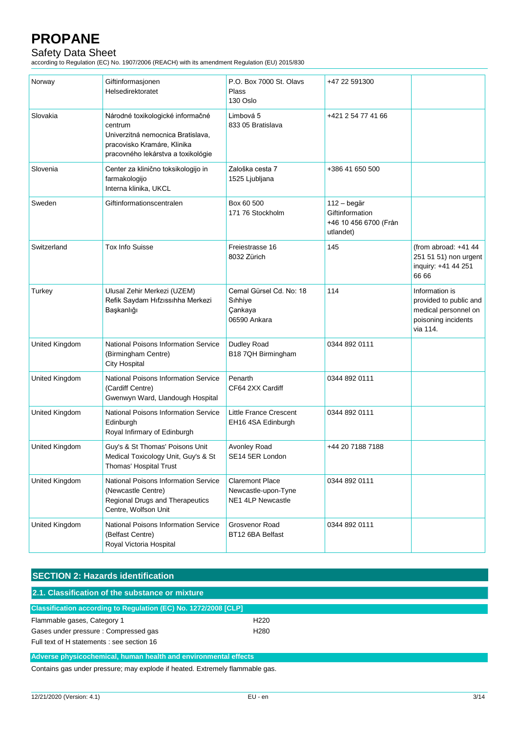# Safety Data Sheet

according to Regulation (EC) No. 1907/2006 (REACH) with its amendment Regulation (EU) 2015/830

| Norway                | Giftinformasjonen<br>Helsedirektoratet                                                                                                                | P.O. Box 7000 St. Olavs<br>Plass<br>130 Oslo                       | +47 22 591300                                                        |                                                                                                     |
|-----------------------|-------------------------------------------------------------------------------------------------------------------------------------------------------|--------------------------------------------------------------------|----------------------------------------------------------------------|-----------------------------------------------------------------------------------------------------|
| Slovakia              | Národné toxikologické informačné<br>centrum<br>Univerzitná nemocnica Bratislava,<br>pracovisko Kramáre, Klinika<br>pracovného lekárstva a toxikológie | Limbová 5<br>833 05 Bratislava                                     | +421 2 54 77 41 66                                                   |                                                                                                     |
| Slovenia              | Center za klinično toksikologijo in<br>farmakologijo<br>Interna klinika, UKCL                                                                         | Zaloška cesta 7<br>1525 Ljubljana                                  | +386 41 650 500                                                      |                                                                                                     |
| Sweden                | Giftinformationscentralen                                                                                                                             | Box 60 500<br>171 76 Stockholm                                     | 112 - begär<br>Giftinformation<br>+46 10 456 6700 (Från<br>utlandet) |                                                                                                     |
| Switzerland           | <b>Tox Info Suisse</b>                                                                                                                                | Freiestrasse 16<br>8032 Zürich                                     | 145                                                                  | (from abroad: $+41$ 44<br>251 51 51) non urgent<br>inquiry: +41 44 251<br>66 66                     |
| Turkey                | Ulusal Zehir Merkezi (UZEM)<br>Refik Saydam Hıfzıssıhha Merkezi<br>Başkanlığı                                                                         | Cemal Gürsel Cd. No: 18<br>Sihhiye<br>Çankaya<br>06590 Ankara      | 114                                                                  | Information is<br>provided to public and<br>medical personnel on<br>poisoning incidents<br>via 114. |
| <b>United Kingdom</b> | National Poisons Information Service<br>(Birmingham Centre)<br><b>City Hospital</b>                                                                   | Dudley Road<br>B18 7QH Birmingham                                  | 0344 892 0111                                                        |                                                                                                     |
| United Kingdom        | National Poisons Information Service<br>(Cardiff Centre)<br>Gwenwyn Ward, Llandough Hospital                                                          | Penarth<br>CF64 2XX Cardiff                                        | 0344 892 0111                                                        |                                                                                                     |
| United Kingdom        | National Poisons Information Service<br>Edinburgh<br>Royal Infirmary of Edinburgh                                                                     | Little France Crescent<br>EH16 4SA Edinburgh                       | 0344 892 0111                                                        |                                                                                                     |
| United Kingdom        | Guy's & St Thomas' Poisons Unit<br>Medical Toxicology Unit, Guy's & St<br>Thomas' Hospital Trust                                                      | Avonley Road<br>SE14 5ER London                                    | +44 20 7188 7188                                                     |                                                                                                     |
| <b>United Kingdom</b> | National Poisons Information Service<br>(Newcastle Centre)<br>Regional Drugs and Therapeutics<br>Centre, Wolfson Unit                                 | <b>Claremont Place</b><br>Newcastle-upon-Tyne<br>NE1 4LP Newcastle | 0344 892 0111                                                        |                                                                                                     |
| United Kingdom        | <b>National Poisons Information Service</b><br>(Belfast Centre)<br>Royal Victoria Hospital                                                            | Grosvenor Road<br>BT12 6BA Belfast                                 | 0344 892 0111                                                        |                                                                                                     |

# **SECTION 2: Hazards identification 2.1. Classification of the substance or mixture Classification according to Regulation (EC) No. 1272/2008 [CLP]** Flammable gases, Category 1 H220 Gases under pressure : Compressed gas <br>
H280 Full text of H statements : see section 16 **Adverse physicochemical, human health and environmental effects**

Contains gas under pressure; may explode if heated. Extremely flammable gas.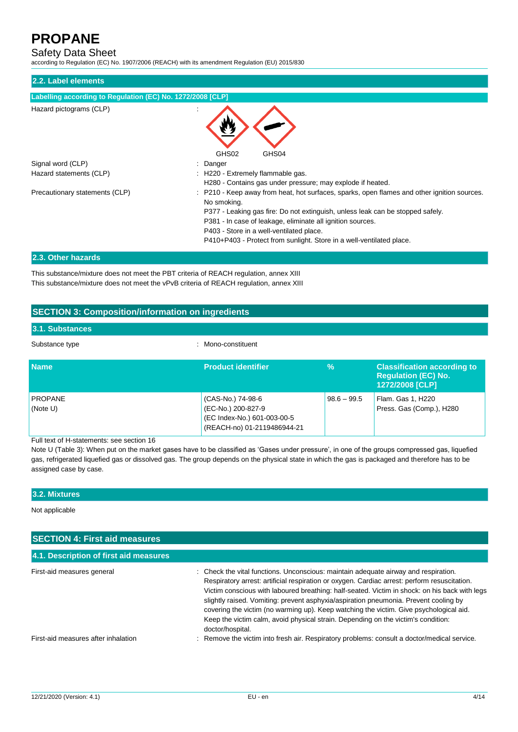### Safety Data Sheet

according to Regulation (EC) No. 1907/2006 (REACH) with its amendment Regulation (EU) 2015/830

| 2.2. Label elements                                        |                                                                                                                                                                                                                                                                                                                                                                              |
|------------------------------------------------------------|------------------------------------------------------------------------------------------------------------------------------------------------------------------------------------------------------------------------------------------------------------------------------------------------------------------------------------------------------------------------------|
| Labelling according to Regulation (EC) No. 1272/2008 [CLP] |                                                                                                                                                                                                                                                                                                                                                                              |
| Hazard pictograms (CLP)                                    | GHS02<br>GHS04                                                                                                                                                                                                                                                                                                                                                               |
| Signal word (CLP)                                          | Danger                                                                                                                                                                                                                                                                                                                                                                       |
| Hazard statements (CLP)                                    | H220 - Extremely flammable gas.<br>H280 - Contains gas under pressure; may explode if heated.                                                                                                                                                                                                                                                                                |
| Precautionary statements (CLP)                             | P210 - Keep away from heat, hot surfaces, sparks, open flames and other ignition sources.<br>No smoking.<br>P377 - Leaking gas fire: Do not extinguish, unless leak can be stopped safely.<br>P381 - In case of leakage, eliminate all ignition sources.<br>P403 - Store in a well-ventilated place.<br>P410+P403 - Protect from sunlight. Store in a well-ventilated place. |
| 2.2. Other horserde                                        |                                                                                                                                                                                                                                                                                                                                                                              |

#### **2.3. Other hazards**

This substance/mixture does not meet the PBT criteria of REACH regulation, annex XIII This substance/mixture does not meet the vPvB criteria of REACH regulation, annex XIII

### **SECTION 3: Composition/information on ingredients**

### **3.1. Substances**

Substance type  $\qquad \qquad$ : Mono-constituent

| <b>Name</b>                | <b>Product identifier</b>                                                                             | %             | <b>Classification according to</b><br><b>Requlation (EC) No.</b><br>1272/2008 [CLP] |
|----------------------------|-------------------------------------------------------------------------------------------------------|---------------|-------------------------------------------------------------------------------------|
| <b>PROPANE</b><br>(Note U) | (CAS-No.) 74-98-6<br>(EC-No.) 200-827-9<br>(EC Index-No.) 601-003-00-5<br>(REACH-no) 01-2119486944-21 | $98.6 - 99.5$ | Flam. Gas 1, H220<br>Press. Gas (Comp.), H280                                       |

Full text of H-statements: see section 16

Note U (Table 3): When put on the market gases have to be classified as 'Gases under pressure', in one of the groups compressed gas, liquefied gas, refrigerated liquefied gas or dissolved gas. The group depends on the physical state in which the gas is packaged and therefore has to be assigned case by case.

#### **3.2. Mixtures**

Not applicable

| <b>SECTION 4: First aid measures</b>   |                                                                                                                                                                                                                                                                                                                                                                                                                                                                                                                                                                                 |  |
|----------------------------------------|---------------------------------------------------------------------------------------------------------------------------------------------------------------------------------------------------------------------------------------------------------------------------------------------------------------------------------------------------------------------------------------------------------------------------------------------------------------------------------------------------------------------------------------------------------------------------------|--|
| 4.1. Description of first aid measures |                                                                                                                                                                                                                                                                                                                                                                                                                                                                                                                                                                                 |  |
| First-aid measures general             | : Check the vital functions. Unconscious: maintain adequate airway and respiration.<br>Respiratory arrest: artificial respiration or oxygen. Cardiac arrest: perform resuscitation.<br>Victim conscious with laboured breathing: half-seated. Victim in shock: on his back with legs<br>slightly raised. Vomiting: prevent asphyxia/aspiration pneumonia. Prevent cooling by<br>covering the victim (no warming up). Keep watching the victim. Give psychological aid.<br>Keep the victim calm, avoid physical strain. Depending on the victim's condition:<br>doctor/hospital. |  |
| First-aid measures after inhalation    | : Remove the victim into fresh air. Respiratory problems: consult a doctor/medical service.                                                                                                                                                                                                                                                                                                                                                                                                                                                                                     |  |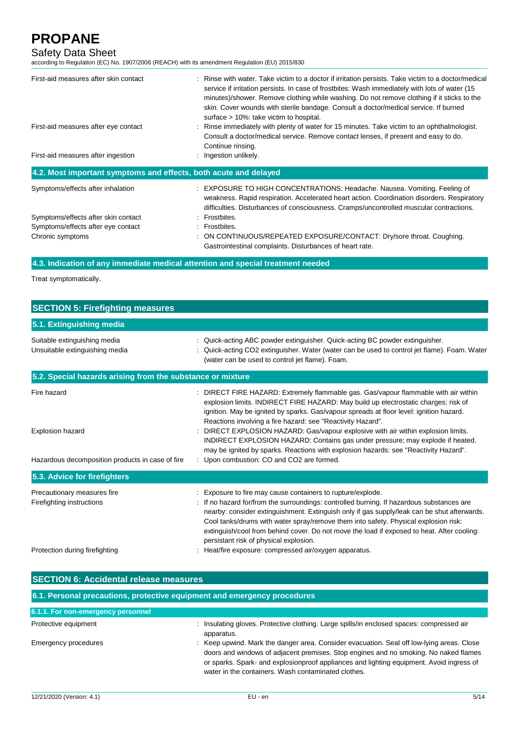### Safety Data Sheet

according to Regulation (EC) No. 1907/2006 (REACH) with its amendment Regulation (EU) 2015/830

| First-aid measures after skin contact<br>First-aid measures after eye contact | : Rinse with water. Take victim to a doctor if irritation persists. Take victim to a doctor/medical<br>service if irritation persists. In case of frostbites: Wash immediately with lots of water (15<br>minutes)/shower. Remove clothing while washing. Do not remove clothing if it sticks to the<br>skin. Cover wounds with sterile bandage. Consult a doctor/medical service. If burned<br>surface > 10%: take victim to hospital.<br>: Rinse immediately with plenty of water for 15 minutes. Take victim to an ophthalmologist.<br>Consult a doctor/medical service. Remove contact lenses, if present and easy to do.<br>Continue rinsing. |
|-------------------------------------------------------------------------------|---------------------------------------------------------------------------------------------------------------------------------------------------------------------------------------------------------------------------------------------------------------------------------------------------------------------------------------------------------------------------------------------------------------------------------------------------------------------------------------------------------------------------------------------------------------------------------------------------------------------------------------------------|
| First-aid measures after ingestion                                            | : Ingestion unlikely.                                                                                                                                                                                                                                                                                                                                                                                                                                                                                                                                                                                                                             |
| 4.2. Most important symptoms and effects, both acute and delayed              |                                                                                                                                                                                                                                                                                                                                                                                                                                                                                                                                                                                                                                                   |
| Symptoms/effects after inhalation                                             | : EXPOSURE TO HIGH CONCENTRATIONS: Headache. Nausea. Vomiting. Feeling of<br>weakness. Rapid respiration. Accelerated heart action. Coordination disorders. Respiratory<br>difficulties. Disturbances of consciousness. Cramps/uncontrolled muscular contractions.                                                                                                                                                                                                                                                                                                                                                                                |
| Symptoms/effects after skin contact                                           | : Frostbites.                                                                                                                                                                                                                                                                                                                                                                                                                                                                                                                                                                                                                                     |
| Symptoms/effects after eye contact                                            | : Frostbites.                                                                                                                                                                                                                                                                                                                                                                                                                                                                                                                                                                                                                                     |
| Chronic symptoms                                                              | : ON CONTINUOUS/REPEATED EXPOSURE/CONTACT: Dry/sore throat. Coughing.<br>Gastrointestinal complaints. Disturbances of heart rate.                                                                                                                                                                                                                                                                                                                                                                                                                                                                                                                 |

### **4.3. Indication of any immediate medical attention and special treatment needed**

Treat symptomatically.

| <b>SECTION 5: Firefighting measures</b>                                                                                                                                                                                                                                                                                                                                                                                                                                                                                                      |  |  |  |
|----------------------------------------------------------------------------------------------------------------------------------------------------------------------------------------------------------------------------------------------------------------------------------------------------------------------------------------------------------------------------------------------------------------------------------------------------------------------------------------------------------------------------------------------|--|--|--|
|                                                                                                                                                                                                                                                                                                                                                                                                                                                                                                                                              |  |  |  |
| : Quick-acting ABC powder extinguisher. Quick-acting BC powder extinguisher.<br>Quick-acting CO2 extinguisher. Water (water can be used to control jet flame). Foam. Water<br>(water can be used to control jet flame). Foam.                                                                                                                                                                                                                                                                                                                |  |  |  |
| 5.2. Special hazards arising from the substance or mixture                                                                                                                                                                                                                                                                                                                                                                                                                                                                                   |  |  |  |
| : DIRECT FIRE HAZARD: Extremely flammable gas. Gas/vapour flammable with air within<br>explosion limits. INDIRECT FIRE HAZARD: May build up electrostatic charges: risk of<br>ignition. May be ignited by sparks. Gas/vapour spreads at floor level: ignition hazard.<br>Reactions involving a fire hazard: see "Reactivity Hazard".<br>: DIRECT EXPLOSION HAZARD: Gas/vapour explosive with air within explosion limits.                                                                                                                    |  |  |  |
| INDIRECT EXPLOSION HAZARD: Contains gas under pressure; may explode if heated.<br>may be ignited by sparks. Reactions with explosion hazards: see "Reactivity Hazard".<br>: Upon combustion: CO and CO2 are formed.                                                                                                                                                                                                                                                                                                                          |  |  |  |
|                                                                                                                                                                                                                                                                                                                                                                                                                                                                                                                                              |  |  |  |
| Exposure to fire may cause containers to rupture/explode.<br>If no hazard for/from the surroundings: controlled burning. If hazardous substances are<br>nearby: consider extinguishment. Extinguish only if gas supply/leak can be shut afterwards.<br>Cool tanks/drums with water spray/remove them into safety. Physical explosion risk:<br>extinguish/cool from behind cover. Do not move the load if exposed to heat. After cooling:<br>persistant risk of physical explosion.<br>: Heat/fire exposure: compressed air/oxygen apparatus. |  |  |  |
|                                                                                                                                                                                                                                                                                                                                                                                                                                                                                                                                              |  |  |  |

| <b>SECTION 6: Accidental release measures</b>                            |                                                                                                                                                                                                                                                                                                                                      |  |
|--------------------------------------------------------------------------|--------------------------------------------------------------------------------------------------------------------------------------------------------------------------------------------------------------------------------------------------------------------------------------------------------------------------------------|--|
| 6.1. Personal precautions, protective equipment and emergency procedures |                                                                                                                                                                                                                                                                                                                                      |  |
| 6.1.1. For non-emergency personnel                                       |                                                                                                                                                                                                                                                                                                                                      |  |
| Protective equipment                                                     | Insulating gloves. Protective clothing. Large spills/in enclosed spaces: compressed air<br>÷<br>apparatus.                                                                                                                                                                                                                           |  |
| Emergency procedures                                                     | : Keep upwind. Mark the danger area. Consider evacuation. Seal off low-lying areas. Close<br>doors and windows of adjacent premises. Stop engines and no smoking. No naked flames<br>or sparks. Spark- and explosionproof appliances and lighting equipment. Avoid ingress of<br>water in the containers. Wash contaminated clothes. |  |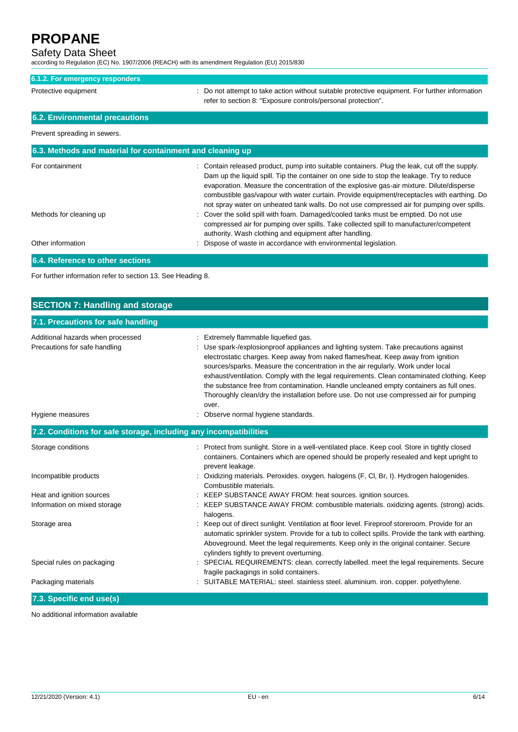### Safety Data Sheet

according to Regulation (EC) No. 1907/2006 (REACH) with its amendment Regulation (EU) 2015/830

| 6.1.2. For emergency responders                           |                                                                                                                                                                                                                                                                                                                                                                                                                                                                                  |
|-----------------------------------------------------------|----------------------------------------------------------------------------------------------------------------------------------------------------------------------------------------------------------------------------------------------------------------------------------------------------------------------------------------------------------------------------------------------------------------------------------------------------------------------------------|
|                                                           |                                                                                                                                                                                                                                                                                                                                                                                                                                                                                  |
| Protective equipment                                      | Do not attempt to take action without suitable protective equipment. For further information<br>refer to section 8: "Exposure controls/personal protection".                                                                                                                                                                                                                                                                                                                     |
| 6.2. Environmental precautions                            |                                                                                                                                                                                                                                                                                                                                                                                                                                                                                  |
| Prevent spreading in sewers.                              |                                                                                                                                                                                                                                                                                                                                                                                                                                                                                  |
| 6.3. Methods and material for containment and cleaning up |                                                                                                                                                                                                                                                                                                                                                                                                                                                                                  |
| For containment                                           | Contain released product, pump into suitable containers. Plug the leak, cut off the supply.<br>Dam up the liquid spill. Tip the container on one side to stop the leakage. Try to reduce<br>evaporation. Measure the concentration of the explosive gas-air mixture. Dilute/disperse<br>combustible gas/vapour with water curtain. Provide equipment/receptacles with earthing. Do<br>not spray water on unheated tank walls. Do not use compressed air for pumping over spills. |
| Methods for cleaning up                                   | Cover the solid spill with foam. Damaged/cooled tanks must be emptied. Do not use<br>compressed air for pumping over spills. Take collected spill to manufacturer/competent<br>authority. Wash clothing and equipment after handling.                                                                                                                                                                                                                                            |
| Other information                                         | Dispose of waste in accordance with environmental legislation.                                                                                                                                                                                                                                                                                                                                                                                                                   |
| 6.4. Reference to other sections                          |                                                                                                                                                                                                                                                                                                                                                                                                                                                                                  |

For further information refer to section 13. See Heading 8.

| <b>SECTION 7: Handling and storage</b>                             |                                                                                                                                                                                                                                                                                                                                                                                                                                                                                                                                                                                              |  |  |
|--------------------------------------------------------------------|----------------------------------------------------------------------------------------------------------------------------------------------------------------------------------------------------------------------------------------------------------------------------------------------------------------------------------------------------------------------------------------------------------------------------------------------------------------------------------------------------------------------------------------------------------------------------------------------|--|--|
| 7.1. Precautions for safe handling                                 |                                                                                                                                                                                                                                                                                                                                                                                                                                                                                                                                                                                              |  |  |
| Additional hazards when processed<br>Precautions for safe handling | Extremely flammable liquefied gas.<br>Use spark-/explosionproof appliances and lighting system. Take precautions against<br>electrostatic charges. Keep away from naked flames/heat. Keep away from ignition<br>sources/sparks. Measure the concentration in the air regularly. Work under local<br>exhaust/ventilation. Comply with the legal requirements. Clean contaminated clothing. Keep<br>the substance free from contamination. Handle uncleaned empty containers as full ones.<br>Thoroughly clean/dry the installation before use. Do not use compressed air for pumping<br>over. |  |  |
| Hygiene measures                                                   | Observe normal hygiene standards.                                                                                                                                                                                                                                                                                                                                                                                                                                                                                                                                                            |  |  |
| 7.2. Conditions for safe storage, including any incompatibilities  |                                                                                                                                                                                                                                                                                                                                                                                                                                                                                                                                                                                              |  |  |
| Storage conditions                                                 | : Protect from sunlight. Store in a well-ventilated place. Keep cool. Store in tightly closed<br>containers. Containers which are opened should be properly resealed and kept upright to<br>prevent leakage.                                                                                                                                                                                                                                                                                                                                                                                 |  |  |
| Incompatible products                                              | : Oxidizing materials. Peroxides. oxygen. halogens (F, Cl, Br, I). Hydrogen halogenides.<br>Combustible materials.                                                                                                                                                                                                                                                                                                                                                                                                                                                                           |  |  |
| Heat and ignition sources                                          | KEEP SUBSTANCE AWAY FROM: heat sources. ignition sources.                                                                                                                                                                                                                                                                                                                                                                                                                                                                                                                                    |  |  |
| Information on mixed storage                                       | : KEEP SUBSTANCE AWAY FROM: combustible materials. oxidizing agents. (strong) acids.<br>halogens.                                                                                                                                                                                                                                                                                                                                                                                                                                                                                            |  |  |
| Storage area                                                       | Keep out of direct sunlight. Ventilation at floor level. Fireproof storeroom. Provide for an<br>automatic sprinkler system. Provide for a tub to collect spills. Provide the tank with earthing.<br>Aboveground. Meet the legal requirements. Keep only in the original container. Secure<br>cylinders tightly to prevent overturning.                                                                                                                                                                                                                                                       |  |  |
| Special rules on packaging                                         | : SPECIAL REQUIREMENTS: clean. correctly labelled. meet the legal requirements. Secure<br>fragile packagings in solid containers.                                                                                                                                                                                                                                                                                                                                                                                                                                                            |  |  |
| Packaging materials                                                | SUITABLE MATERIAL: steel. stainless steel. aluminium. iron. copper. polyethylene.                                                                                                                                                                                                                                                                                                                                                                                                                                                                                                            |  |  |
| 7.3. Specific end use(s)                                           |                                                                                                                                                                                                                                                                                                                                                                                                                                                                                                                                                                                              |  |  |

No additional information available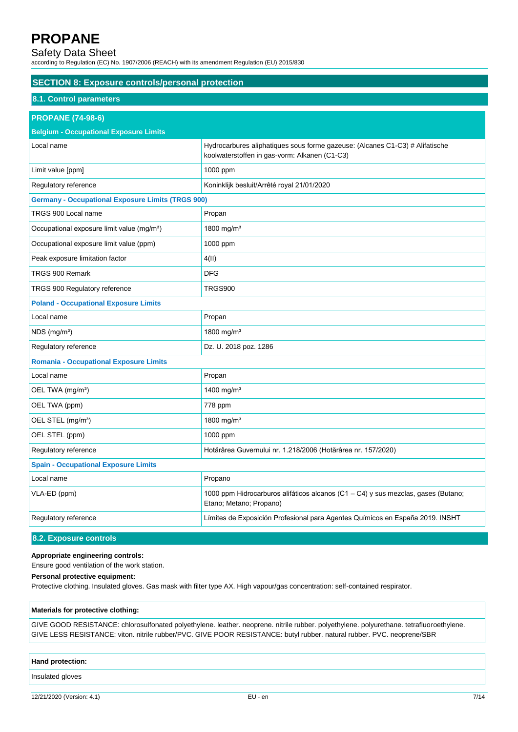### Safety Data Sheet

according to Regulation (EC) No. 1907/2006 (REACH) with its amendment Regulation (EU) 2015/830

| <b>SECTION 8: Exposure controls/personal protection</b>  |                                                                                                                               |  |
|----------------------------------------------------------|-------------------------------------------------------------------------------------------------------------------------------|--|
| 8.1. Control parameters                                  |                                                                                                                               |  |
| <b>PROPANE (74-98-6)</b>                                 |                                                                                                                               |  |
| <b>Belgium - Occupational Exposure Limits</b>            |                                                                                                                               |  |
| Local name                                               | Hydrocarbures aliphatiques sous forme gazeuse: (Alcanes C1-C3) # Alifatische<br>koolwaterstoffen in gas-vorm: Alkanen (C1-C3) |  |
| Limit value [ppm]                                        | 1000 ppm                                                                                                                      |  |
| Regulatory reference                                     | Koninklijk besluit/Arrêté royal 21/01/2020                                                                                    |  |
| <b>Germany - Occupational Exposure Limits (TRGS 900)</b> |                                                                                                                               |  |
| TRGS 900 Local name                                      | Propan                                                                                                                        |  |
| Occupational exposure limit value (mg/m <sup>3</sup> )   | 1800 mg/m <sup>3</sup>                                                                                                        |  |
| Occupational exposure limit value (ppm)                  | 1000 ppm                                                                                                                      |  |
| Peak exposure limitation factor                          | 4(II)                                                                                                                         |  |
| TRGS 900 Remark                                          | <b>DFG</b>                                                                                                                    |  |
| TRGS 900 Regulatory reference                            | <b>TRGS900</b>                                                                                                                |  |
| <b>Poland - Occupational Exposure Limits</b>             |                                                                                                                               |  |
| Local name                                               | Propan                                                                                                                        |  |
| $NDS$ (mg/m <sup>3</sup> )                               | 1800 mg/m <sup>3</sup>                                                                                                        |  |
| Regulatory reference                                     | Dz. U. 2018 poz. 1286                                                                                                         |  |
| <b>Romania - Occupational Exposure Limits</b>            |                                                                                                                               |  |
| Local name                                               | Propan                                                                                                                        |  |
| OEL TWA (mg/m <sup>3</sup> )                             | 1400 mg/m <sup>3</sup>                                                                                                        |  |
| OEL TWA (ppm)                                            | 778 ppm                                                                                                                       |  |
| OEL STEL (mg/m <sup>3</sup> )                            | 1800 mg/m <sup>3</sup>                                                                                                        |  |
| OEL STEL (ppm)                                           | 1000 ppm                                                                                                                      |  |
| Regulatory reference                                     | Hotărârea Guvernului nr. 1.218/2006 (Hotărârea nr. 157/2020)                                                                  |  |
| <b>Spain - Occupational Exposure Limits</b>              |                                                                                                                               |  |
| Local name                                               | Propano                                                                                                                       |  |
| VLA-ED (ppm)                                             | 1000 ppm Hidrocarburos alifáticos alcanos (C1 - C4) y sus mezclas, gases (Butano;<br>Etano; Metano; Propano)                  |  |
| Regulatory reference                                     | Límites de Exposición Profesional para Agentes Químicos en España 2019. INSHT                                                 |  |
|                                                          |                                                                                                                               |  |

### **8.2. Exposure controls**

#### **Appropriate engineering controls:**

Ensure good ventilation of the work station.

### **Personal protective equipment:**

Protective clothing. Insulated gloves. Gas mask with filter type AX. High vapour/gas concentration: self-contained respirator.

#### **Materials for protective clothing:**

GIVE GOOD RESISTANCE: chlorosulfonated polyethylene. leather. neoprene. nitrile rubber. polyethylene. polyurethane. tetrafluoroethylene. GIVE LESS RESISTANCE: viton. nitrile rubber/PVC. GIVE POOR RESISTANCE: butyl rubber. natural rubber. PVC. neoprene/SBR

#### **Hand protection:**

Insulated gloves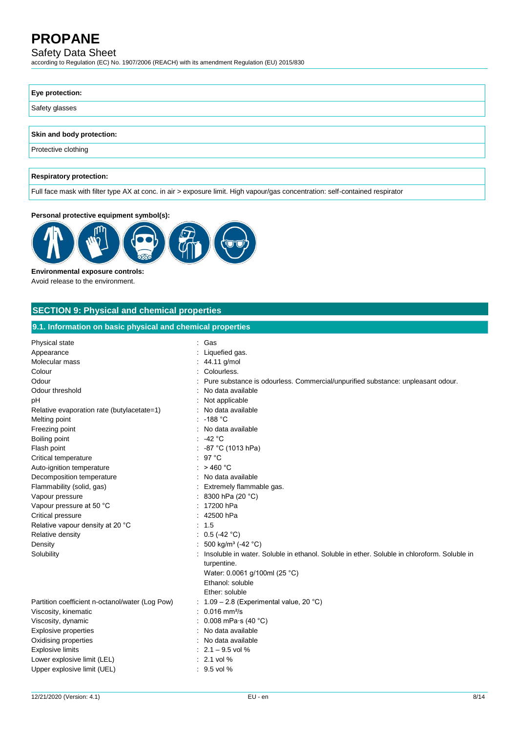# Safety Data Sheet

according to Regulation (EC) No. 1907/2006 (REACH) with its amendment Regulation (EU) 2015/830

| Eye protection:                |  |
|--------------------------------|--|
| Safety glasses                 |  |
|                                |  |
| Skin and body protection:      |  |
| Protective clothing            |  |
|                                |  |
| <b>Respiratory protection:</b> |  |

Full face mask with filter type AX at conc. in air > exposure limit. High vapour/gas concentration: self-contained respirator

### **Personal protective equipment symbol(s):**



**Environmental exposure controls:** Avoid release to the environment.

# **SECTION 9: Physical and chemical properties**

| 9.1. Information on basic physical and chemical properties                                                                                                                                                                                                                                                                                                                                                                                                        |                                                                                                                                                                                                                                                                                                                                                                                                                                                                       |  |
|-------------------------------------------------------------------------------------------------------------------------------------------------------------------------------------------------------------------------------------------------------------------------------------------------------------------------------------------------------------------------------------------------------------------------------------------------------------------|-----------------------------------------------------------------------------------------------------------------------------------------------------------------------------------------------------------------------------------------------------------------------------------------------------------------------------------------------------------------------------------------------------------------------------------------------------------------------|--|
| Physical state<br>Appearance<br>Molecular mass<br>Colour<br>Odour<br>Odour threshold<br>рH<br>Relative evaporation rate (butylacetate=1)<br>Melting point<br>Freezing point<br>Boiling point<br>Flash point<br>Critical temperature<br>Auto-ignition temperature<br>Decomposition temperature<br>Flammability (solid, gas)<br>Vapour pressure<br>Vapour pressure at 50 °C<br>Critical pressure<br>Relative vapour density at 20 °C<br>Relative density<br>Density | : Gas<br>Liquefied gas.<br>: 44.11 g/mol<br>Colourless.<br>Pure substance is odourless. Commercial/unpurified substance: unpleasant odour.<br>No data available<br>Not applicable<br>No data available<br>$: -188 °C$<br>No data available<br>$: -42 °C$<br>: $-87$ °C (1013 hPa)<br>97 °C<br>: $>460 °C$<br>No data available<br>Extremely flammable gas.<br>8300 hPa (20 °C)<br>17200 hPa<br>42500 hPa<br>1.5<br>: $0.5$ (-42 °C)<br>500 kg/m <sup>3</sup> (-42 °C) |  |
| Solubility<br>Partition coefficient n-octanol/water (Log Pow)<br>Viscosity, kinematic<br>Viscosity, dynamic<br><b>Explosive properties</b><br>Oxidising properties<br><b>Explosive limits</b><br>Lower explosive limit (LEL)<br>Upper explosive limit (UEL)                                                                                                                                                                                                       | Insoluble in water. Soluble in ethanol. Soluble in ether. Soluble in chloroform. Soluble in<br>turpentine.<br>Water: 0.0061 g/100ml (25 °C)<br>Ethanol: soluble<br>Ether: soluble<br>: $1.09 - 2.8$ (Experimental value, 20 °C)<br>$: 0.016$ mm <sup>2</sup> /s<br>0.008 mPa $\cdot$ s (40 $\degree$ C)<br>No data available<br>No data available<br>$: 2.1 - 9.5$ vol %<br>$: 2.1$ vol %<br>$: 9.5$ vol %                                                            |  |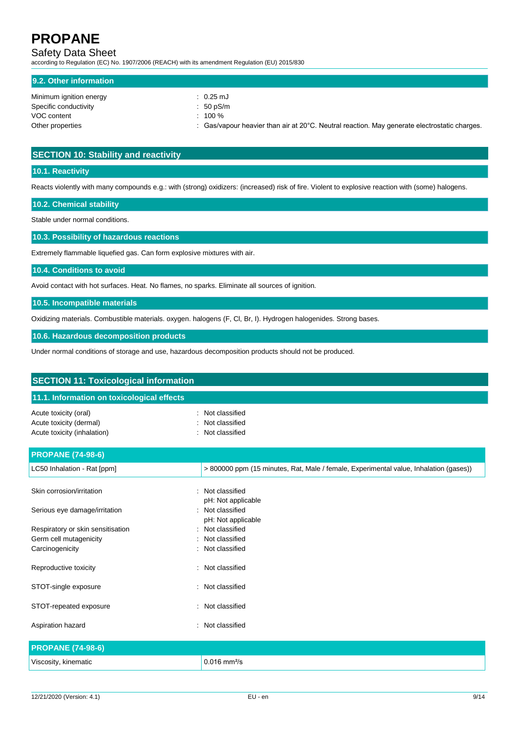# Safety Data Sheet

according to Regulation (EC) No. 1907/2006 (REACH) with its amendment Regulation (EU) 2015/830

| 9.2. Other information  |                                                                                                                   |
|-------------------------|-------------------------------------------------------------------------------------------------------------------|
| Minimum ignition energy | $\therefore$ 0.25 mJ                                                                                              |
| Specific conductivity   | $: 50$ pS/m                                                                                                       |
| VOC content             | $: 100 \%$                                                                                                        |
| Other properties        | $\therefore$ Gas/vapour heavier than air at 20 $\degree$ C. Neutral reaction. May generate electrostatic charges. |

### **SECTION 10: Stability and reactivity**

### **10.1. Reactivity**

Reacts violently with many compounds e.g.: with (strong) oxidizers: (increased) risk of fire. Violent to explosive reaction with (some) halogens.

**10.2. Chemical stability**

Stable under normal conditions.

**10.3. Possibility of hazardous reactions**

Extremely flammable liquefied gas. Can form explosive mixtures with air.

#### **10.4. Conditions to avoid**

Avoid contact with hot surfaces. Heat. No flames, no sparks. Eliminate all sources of ignition.

**10.5. Incompatible materials**

Oxidizing materials. Combustible materials. oxygen. halogens (F, Cl, Br, I). Hydrogen halogenides. Strong bases.

**10.6. Hazardous decomposition products**

Under normal conditions of storage and use, hazardous decomposition products should not be produced.

| <b>SECTION 11: Toxicological information</b>                                    |                                                                                       |
|---------------------------------------------------------------------------------|---------------------------------------------------------------------------------------|
| 11.1. Information on toxicological effects                                      |                                                                                       |
| Acute toxicity (oral)<br>Acute toxicity (dermal)<br>Acute toxicity (inhalation) | Not classified<br>Not classified<br>Not classified                                    |
| <b>PROPANE (74-98-6)</b>                                                        |                                                                                       |
| LC50 Inhalation - Rat [ppm]                                                     | > 800000 ppm (15 minutes, Rat, Male / female, Experimental value, Inhalation (gases)) |
| Skin corrosion/irritation                                                       | : Not classified<br>pH: Not applicable                                                |
| Serious eye damage/irritation                                                   | : Not classified<br>pH: Not applicable                                                |
| Respiratory or skin sensitisation                                               | Not classified                                                                        |
| Germ cell mutagenicity                                                          | Not classified                                                                        |
| Carcinogenicity                                                                 | Not classified                                                                        |
| Reproductive toxicity                                                           | Not classified<br>$\bullet$                                                           |
| STOT-single exposure                                                            | : Not classified                                                                      |
| STOT-repeated exposure                                                          | Not classified                                                                        |
| Aspiration hazard                                                               | Not classified                                                                        |
| <b>PROPANE (74-98-6)</b>                                                        |                                                                                       |
| Viscosity, kinematic                                                            | $0.016$ mm <sup>2</sup> /s                                                            |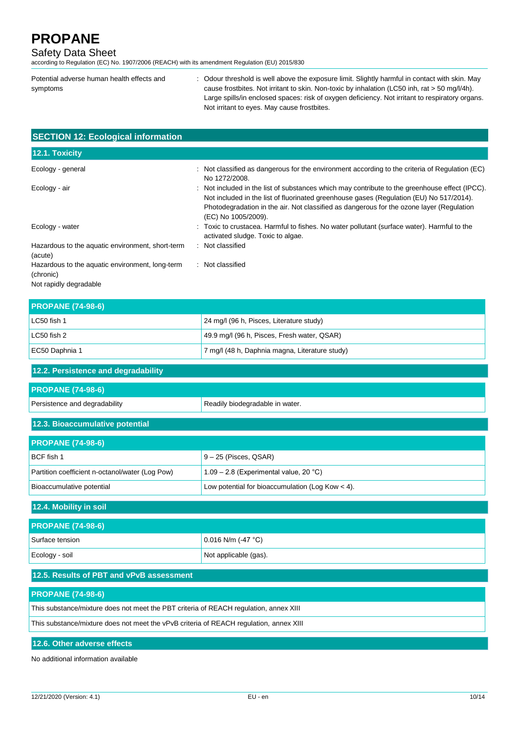### Safety Data Sheet

according to Regulation (EC) No. 1907/2006 (REACH) with its amendment Regulation (EU) 2015/830

Potential adverse human health effects and symptoms : Odour threshold is well above the exposure limit. Slightly harmful in contact with skin. May cause frostbites. Not irritant to skin. Non-toxic by inhalation (LC50 inh, rat > 50 mg/l/4h). Large spills/in enclosed spaces: risk of oxygen deficiency. Not irritant to respiratory organs. Not irritant to eyes. May cause frostbites.

| <b>SECTION 12: Ecological information</b>                    |                                                                                                                                                                                                                                                                                                              |
|--------------------------------------------------------------|--------------------------------------------------------------------------------------------------------------------------------------------------------------------------------------------------------------------------------------------------------------------------------------------------------------|
| 12.1. Toxicity                                               |                                                                                                                                                                                                                                                                                                              |
| Ecology - general                                            | $\therefore$ Not classified as dangerous for the environment according to the criteria of Regulation (EC)<br>No 1272/2008.                                                                                                                                                                                   |
| Ecology - air                                                | : Not included in the list of substances which may contribute to the greenhouse effect (IPCC).<br>Not included in the list of fluorinated greenhouse gases (Regulation (EU) No 517/2014).<br>Photodegradation in the air. Not classified as dangerous for the ozone layer (Regulation<br>(EC) No 1005/2009). |
| Ecology - water                                              | : Toxic to crustacea. Harmful to fishes. No water pollutant (surface water). Harmful to the<br>activated sludge. Toxic to algae.                                                                                                                                                                             |
| Hazardous to the aquatic environment, short-term<br>(acute)  | : Not classified                                                                                                                                                                                                                                                                                             |
| Hazardous to the aquatic environment, long-term<br>(chronic) | : Not classified                                                                                                                                                                                                                                                                                             |

Not rapidly degradable

| <b>PROPANE (74-98-6)</b> |                                                |
|--------------------------|------------------------------------------------|
| l LC50 fish 1            | 24 mg/l (96 h, Pisces, Literature study)       |
| LC50 fish 2              | 49.9 mg/l (96 h, Pisces, Fresh water, QSAR)    |
| EC50 Daphnia 1           | 7 mg/l (48 h, Daphnia magna, Literature study) |

| 12.2. Persistence and degradability |                                 |  |
|-------------------------------------|---------------------------------|--|
| <b>PROPANE (74-98-6)</b>            |                                 |  |
| Persistence and degradability       | Readily biodegradable in water. |  |
| 12.3. Bioaccumulative potential     |                                 |  |
| <b>PROPANE (74-98-6)</b>            |                                 |  |

| BCF fish 1                                      | $9 - 25$ (Pisces, QSAR)                            |
|-------------------------------------------------|----------------------------------------------------|
| Partition coefficient n-octanol/water (Log Pow) | $1.09 - 2.8$ (Experimental value, 20 °C)           |
| Bioaccumulative potential                       | Low potential for bioaccumulation (Log Kow $<$ 4). |

| 12.4. Mobility in soil   |                       |
|--------------------------|-----------------------|
| <b>PROPANE (74-98-6)</b> |                       |
| Surface tension          | $0.016$ N/m (-47 °C)  |
| Ecology - soil           | Not applicable (gas). |
| ___________________      |                       |

# **12.5. Results of PBT and vPvB assessment**

### **PROPANE (74-98-6)**

This substance/mixture does not meet the PBT criteria of REACH regulation, annex XIII

This substance/mixture does not meet the vPvB criteria of REACH regulation, annex XIII

### **12.6. Other adverse effects**

No additional information available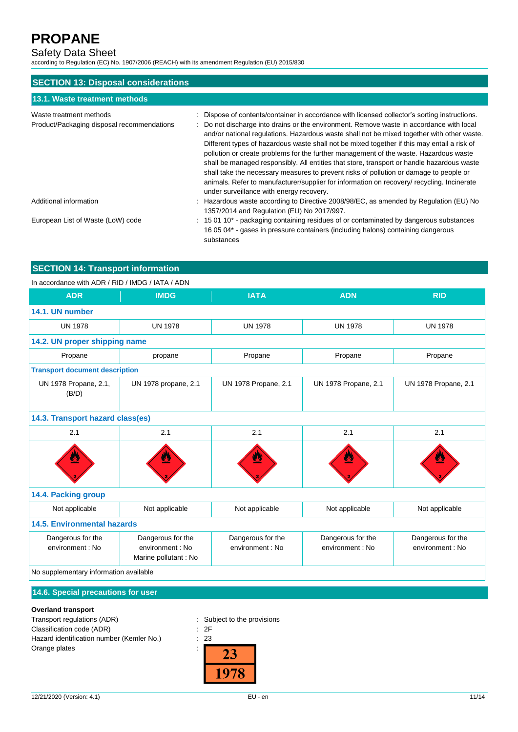# Safety Data Sheet

according to Regulation (EC) No. 1907/2006 (REACH) with its amendment Regulation (EU) 2015/830

| <b>SECTION 13: Disposal considerations</b>                            |                                                                                                                                                                                                                                                                                                                                                                                                                                                                                                                                                                                                                                                                                                                                                                                                                 |  |  |
|-----------------------------------------------------------------------|-----------------------------------------------------------------------------------------------------------------------------------------------------------------------------------------------------------------------------------------------------------------------------------------------------------------------------------------------------------------------------------------------------------------------------------------------------------------------------------------------------------------------------------------------------------------------------------------------------------------------------------------------------------------------------------------------------------------------------------------------------------------------------------------------------------------|--|--|
| 13.1. Waste treatment methods                                         |                                                                                                                                                                                                                                                                                                                                                                                                                                                                                                                                                                                                                                                                                                                                                                                                                 |  |  |
| Waste treatment methods<br>Product/Packaging disposal recommendations | Dispose of contents/container in accordance with licensed collector's sorting instructions.<br>: Do not discharge into drains or the environment. Remove waste in accordance with local<br>and/or national requlations. Hazardous waste shall not be mixed together with other waste.<br>Different types of hazardous waste shall not be mixed together if this may entail a risk of<br>pollution or create problems for the further management of the waste. Hazardous waste<br>shall be managed responsibly. All entities that store, transport or handle hazardous waste<br>shall take the necessary measures to prevent risks of pollution or damage to people or<br>animals. Refer to manufacturer/supplier for information on recovery/ recycling. Incinerate<br>under surveillance with energy recovery. |  |  |
| Additional information                                                | Hazardous waste according to Directive 2008/98/EC, as amended by Regulation (EU) No<br>1357/2014 and Regulation (EU) No 2017/997.                                                                                                                                                                                                                                                                                                                                                                                                                                                                                                                                                                                                                                                                               |  |  |
| European List of Waste (LoW) code                                     | $\therefore$ 15 01 10 <sup>*</sup> - packaging containing residues of or contaminated by dangerous substances<br>16 05 04* - gases in pressure containers (including halons) containing dangerous<br>substances                                                                                                                                                                                                                                                                                                                                                                                                                                                                                                                                                                                                 |  |  |

# **SECTION 14: Transport information**

### In accordance with ADR / RID / IMDG / IATA / ADN

| <b>ADR</b>                             | <b>IMDG</b>                                                   | <b>IATA</b>                           | <b>ADN</b>                            | <b>RID</b>                            |
|----------------------------------------|---------------------------------------------------------------|---------------------------------------|---------------------------------------|---------------------------------------|
| 14.1. UN number                        |                                                               |                                       |                                       |                                       |
| <b>UN 1978</b>                         | <b>UN 1978</b>                                                | <b>UN 1978</b>                        | <b>UN 1978</b>                        | <b>UN 1978</b>                        |
| 14.2. UN proper shipping name          |                                                               |                                       |                                       |                                       |
| Propane                                | propane                                                       | Propane                               | Propane                               | Propane                               |
| <b>Transport document description</b>  |                                                               |                                       |                                       |                                       |
| UN 1978 Propane, 2.1,<br>(B/D)         | UN 1978 propane, 2.1                                          | UN 1978 Propane, 2.1                  | UN 1978 Propane, 2.1                  | UN 1978 Propane, 2.1                  |
|                                        | 14.3. Transport hazard class(es)                              |                                       |                                       |                                       |
| 2.1                                    | 2.1                                                           | 2.1                                   | 2.1                                   | 2.1                                   |
|                                        | <u>a</u>                                                      |                                       | Ł                                     |                                       |
| 14.4. Packing group                    |                                                               |                                       |                                       |                                       |
| Not applicable                         | Not applicable                                                | Not applicable                        | Not applicable                        | Not applicable                        |
| <b>14.5. Environmental hazards</b>     |                                                               |                                       |                                       |                                       |
| Dangerous for the<br>environment : No  | Dangerous for the<br>environment : No<br>Marine pollutant: No | Dangerous for the<br>environment : No | Dangerous for the<br>environment : No | Dangerous for the<br>environment : No |
| No supplementary information available |                                                               |                                       |                                       |                                       |

### **14.6. Special precautions for user**

### **Overland transport**

Transport regulations (ADR) : Subject to the provisions Classification code (ADR) : 2F Hazard identification number (Kemler No.) : 23 Orange plates in the state of the state of the state of the state of the state of the state of the state of the state of the state of the state of the state of the state of the state of the state of the state of the state

23 1978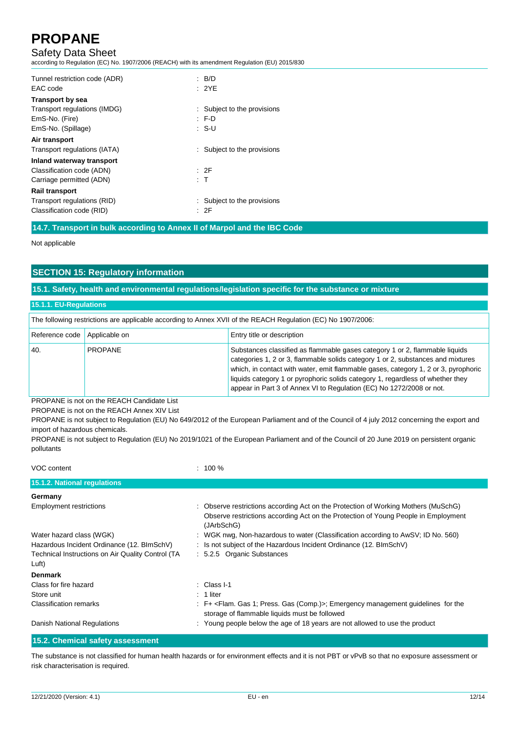### Safety Data Sheet

according to Regulation (EC) No. 1907/2006 (REACH) with its amendment Regulation (EU) 2015/830

| Tunnel restriction code (ADR)<br>EAC code | : $B/D$<br>: 2YF            |
|-------------------------------------------|-----------------------------|
| <b>Transport by sea</b>                   |                             |
| Transport regulations (IMDG)              | : Subject to the provisions |
| EmS-No. (Fire)                            | F.D                         |
| EmS-No. (Spillage)                        | : S-U                       |
| Air transport                             |                             |
| Transport regulations (IATA)              | Subject to the provisions   |
| Inland waterway transport                 |                             |
| Classification code (ADN)                 | : 2F                        |
| Carriage permitted (ADN)                  | : T                         |
| <b>Rail transport</b>                     |                             |
| Transport regulations (RID)               | : Subject to the provisions |
| Classification code (RID)                 | : 2F                        |

**14.7. Transport in bulk according to Annex II of Marpol and the IBC Code**

Not applicable

### **SECTION 15: Regulatory information**

**15.1. Safety, health and environmental regulations/legislation specific for the substance or mixture**

#### **15.1.1. EU-Regulations**

| The following restrictions are applicable according to Annex XVII of the REACH Regulation (EC) No 1907/2006: |                |                                                                                                                                                                                                                                                                                                                                                                                                                |
|--------------------------------------------------------------------------------------------------------------|----------------|----------------------------------------------------------------------------------------------------------------------------------------------------------------------------------------------------------------------------------------------------------------------------------------------------------------------------------------------------------------------------------------------------------------|
| Reference code   Applicable on                                                                               |                | Entry title or description                                                                                                                                                                                                                                                                                                                                                                                     |
| 40.                                                                                                          | <b>PROPANE</b> | Substances classified as flammable gases category 1 or 2, flammable liquids<br>categories 1, 2 or 3, flammable solids category 1 or 2, substances and mixtures<br>which, in contact with water, emit flammable gases, category 1, 2 or 3, pyrophoric<br>liquids category 1 or pyrophoric solids category 1, regardless of whether they<br>appear in Part 3 of Annex VI to Regulation (EC) No 1272/2008 or not. |

PROPANE is not on the REACH Candidate List PROPANE is not on the REACH Annex XIV List

PROPANE is not subject to Regulation (EU) No 649/2012 of the European Parliament and of the Council of 4 july 2012 concerning the export and import of hazardous chemicals.

PROPANE is not subject to Regulation (EU) No 2019/1021 of the European Parliament and of the Council of 20 June 2019 on persistent organic pollutants

| $: 100 \%$                                                                                                                                                                             |
|----------------------------------------------------------------------------------------------------------------------------------------------------------------------------------------|
|                                                                                                                                                                                        |
|                                                                                                                                                                                        |
| : Observe restrictions according Act on the Protection of Working Mothers (MuSchG)<br>Observe restrictions according Act on the Protection of Young People in Employment<br>(JArbSchG) |
| : WGK nwg, Non-hazardous to water (Classification according to AwSV; ID No. 560)                                                                                                       |
| : Is not subject of the Hazardous Incident Ordinance (12. BImSchV)                                                                                                                     |
| : 5.2.5 Organic Substances                                                                                                                                                             |
|                                                                                                                                                                                        |
|                                                                                                                                                                                        |
| $\therefore$ Class I-1                                                                                                                                                                 |
| $: 1$ liter                                                                                                                                                                            |
| : F+ <flam. (comp.)="" 1;="" gas="" press.="">; Emergency management guidelines for the<br/>storage of flammable liquids must be followed</flam.>                                      |
| : Young people below the age of 18 years are not allowed to use the product                                                                                                            |
|                                                                                                                                                                                        |

**15.2. Chemical safety assessment**

The substance is not classified for human health hazards or for environment effects and it is not PBT or vPvB so that no exposure assessment or risk characterisation is required.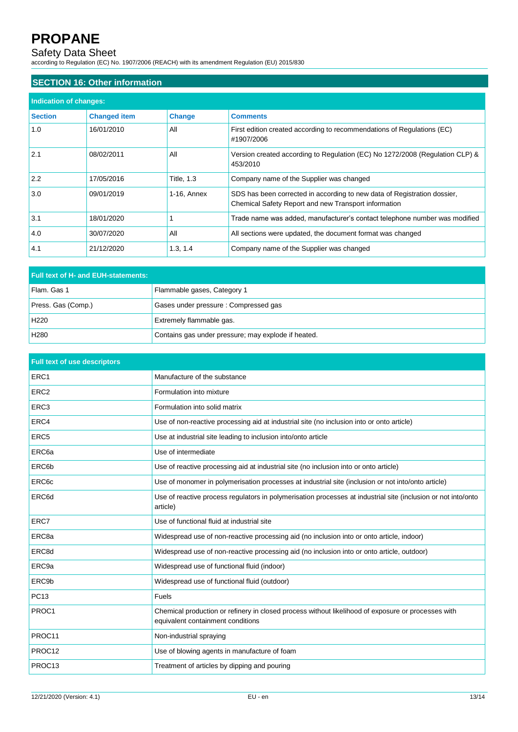### Safety Data Sheet

according to Regulation (EC) No. 1907/2006 (REACH) with its amendment Regulation (EU) 2015/830

# **SECTION 16: Other information**

| Indication of changes: |                     |                   |                                                                                                                                  |
|------------------------|---------------------|-------------------|----------------------------------------------------------------------------------------------------------------------------------|
| <b>Section</b>         | <b>Changed item</b> | <b>Change</b>     | <b>Comments</b>                                                                                                                  |
| 1.0                    | 16/01/2010          | All               | First edition created according to recommendations of Regulations (EC)<br>#1907/2006                                             |
| 2.1                    | 08/02/2011          | All               | Version created according to Regulation (EC) No 1272/2008 (Regulation CLP) &<br>453/2010                                         |
| 2.2                    | 17/05/2016          | <b>Title, 1.3</b> | Company name of the Supplier was changed                                                                                         |
| 3.0                    | 09/01/2019          | 1-16, Annex       | SDS has been corrected in according to new data of Registration dossier,<br>Chemical Safety Report and new Transport information |
| 3.1                    | 18/01/2020          |                   | Trade name was added, manufacturer's contact telephone number was modified                                                       |
| 4.0                    | 30/07/2020          | All               | All sections were updated, the document format was changed                                                                       |
| 4.1                    | 21/12/2020          | 1.3, 1.4          | Company name of the Supplier was changed                                                                                         |

| Full text of H- and EUH-statements: |                                                     |  |
|-------------------------------------|-----------------------------------------------------|--|
| Flam. Gas 1                         | Flammable gases, Category 1                         |  |
| Press. Gas (Comp.)                  | Gases under pressure: Compressed gas                |  |
| H <sub>220</sub>                    | Extremely flammable gas.                            |  |
| H <sub>280</sub>                    | Contains gas under pressure; may explode if heated. |  |

| <b>Full text of use descriptors</b> |                                                                                                                                         |
|-------------------------------------|-----------------------------------------------------------------------------------------------------------------------------------------|
| ERC1                                | Manufacture of the substance                                                                                                            |
| ERC <sub>2</sub>                    | Formulation into mixture                                                                                                                |
| ERC <sub>3</sub>                    | Formulation into solid matrix                                                                                                           |
| ERC4                                | Use of non-reactive processing aid at industrial site (no inclusion into or onto article)                                               |
| ERC <sub>5</sub>                    | Use at industrial site leading to inclusion into/onto article                                                                           |
| ERC <sub>6a</sub>                   | Use of intermediate                                                                                                                     |
| ERC6b                               | Use of reactive processing aid at industrial site (no inclusion into or onto article)                                                   |
| ERC <sub>6</sub> c                  | Use of monomer in polymerisation processes at industrial site (inclusion or not into/onto article)                                      |
| ERC6d                               | Use of reactive process regulators in polymerisation processes at industrial site (inclusion or not into/onto<br>article)               |
| ERC7                                | Use of functional fluid at industrial site                                                                                              |
| ERC <sub>8a</sub>                   | Widespread use of non-reactive processing aid (no inclusion into or onto article, indoor)                                               |
| ERC8d                               | Widespread use of non-reactive processing aid (no inclusion into or onto article, outdoor)                                              |
| ERC <sub>9a</sub>                   | Widespread use of functional fluid (indoor)                                                                                             |
| ERC <sub>9b</sub>                   | Widespread use of functional fluid (outdoor)                                                                                            |
| PC13                                | Fuels                                                                                                                                   |
| PROC1                               | Chemical production or refinery in closed process without likelihood of exposure or processes with<br>equivalent containment conditions |
| PROC11                              | Non-industrial spraying                                                                                                                 |
| PROC12                              | Use of blowing agents in manufacture of foam                                                                                            |
| PROC13                              | Treatment of articles by dipping and pouring                                                                                            |